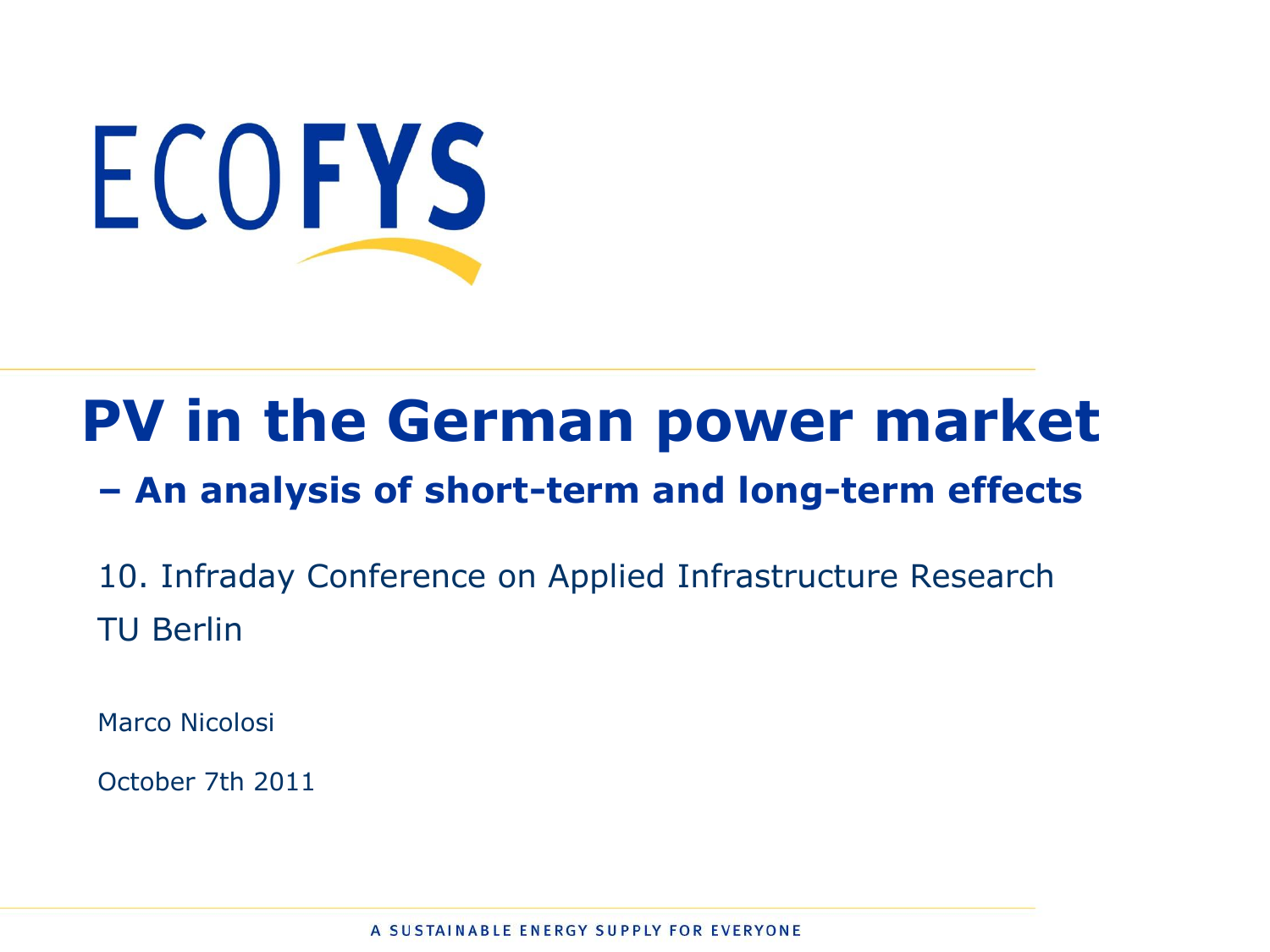

# **PV in the German power market**

#### **– An analysis of short-term and long-term effects**

10. Infraday Conference on Applied Infrastructure Research TU Berlin

Marco Nicolosi

October 7th 2011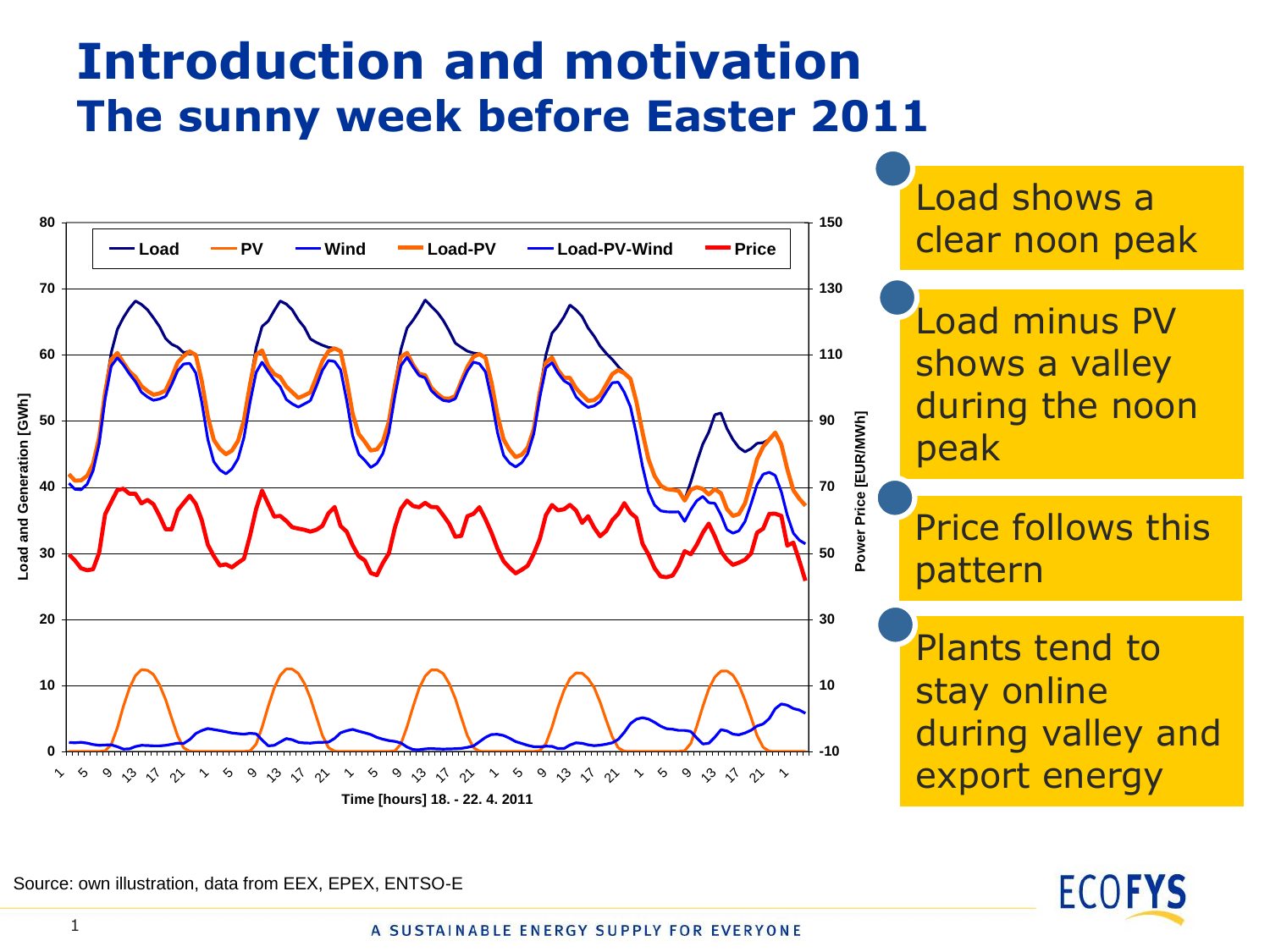#### **Introduction and motivation The sunny week before Easter 2011**



Load shows a clear noon peak

Load minus PV shows a valley during the noon peak

Price follows this pattern

Plants tend to stay online during valley and export energy



Source: own illustration, data from EEX, EPEX, ENTSO-E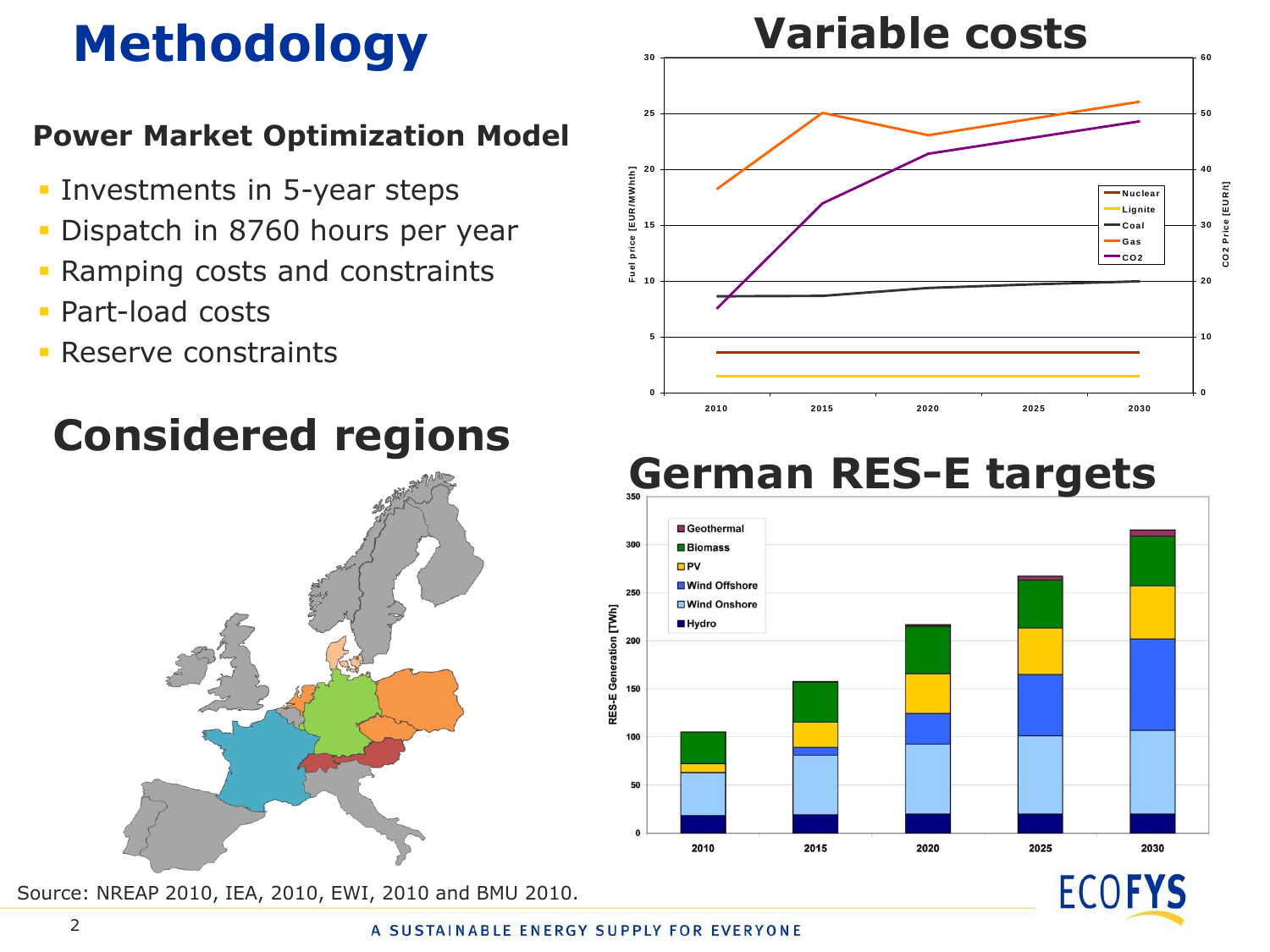# **Methodology**

#### **Power Market Optimization Model**

- **Investments in 5-year steps**
- Dispatch in 8760 hours per year
- Ramping costs and constraints
- Part-load costs
- **Reserve constraints**

#### **Considered regions**



Source: NREAP 2010, IEA, 2010, EWI, 2010 and BMU 2010.



#### **German RES-E targets**



**ECOFYS**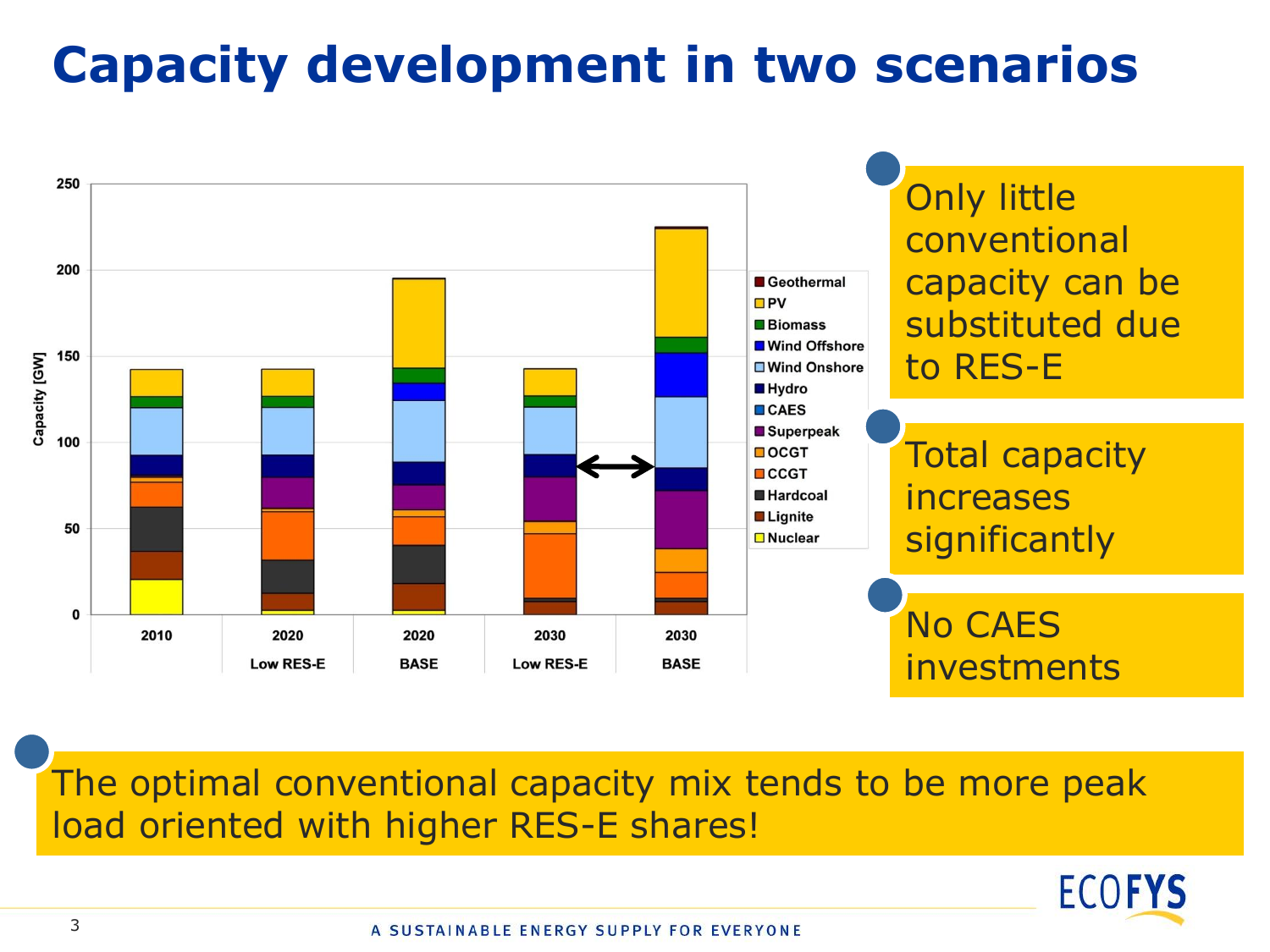## **Capacity development in two scenarios**



The optimal conventional capacity mix tends to be more peak load oriented with higher RES-E shares!

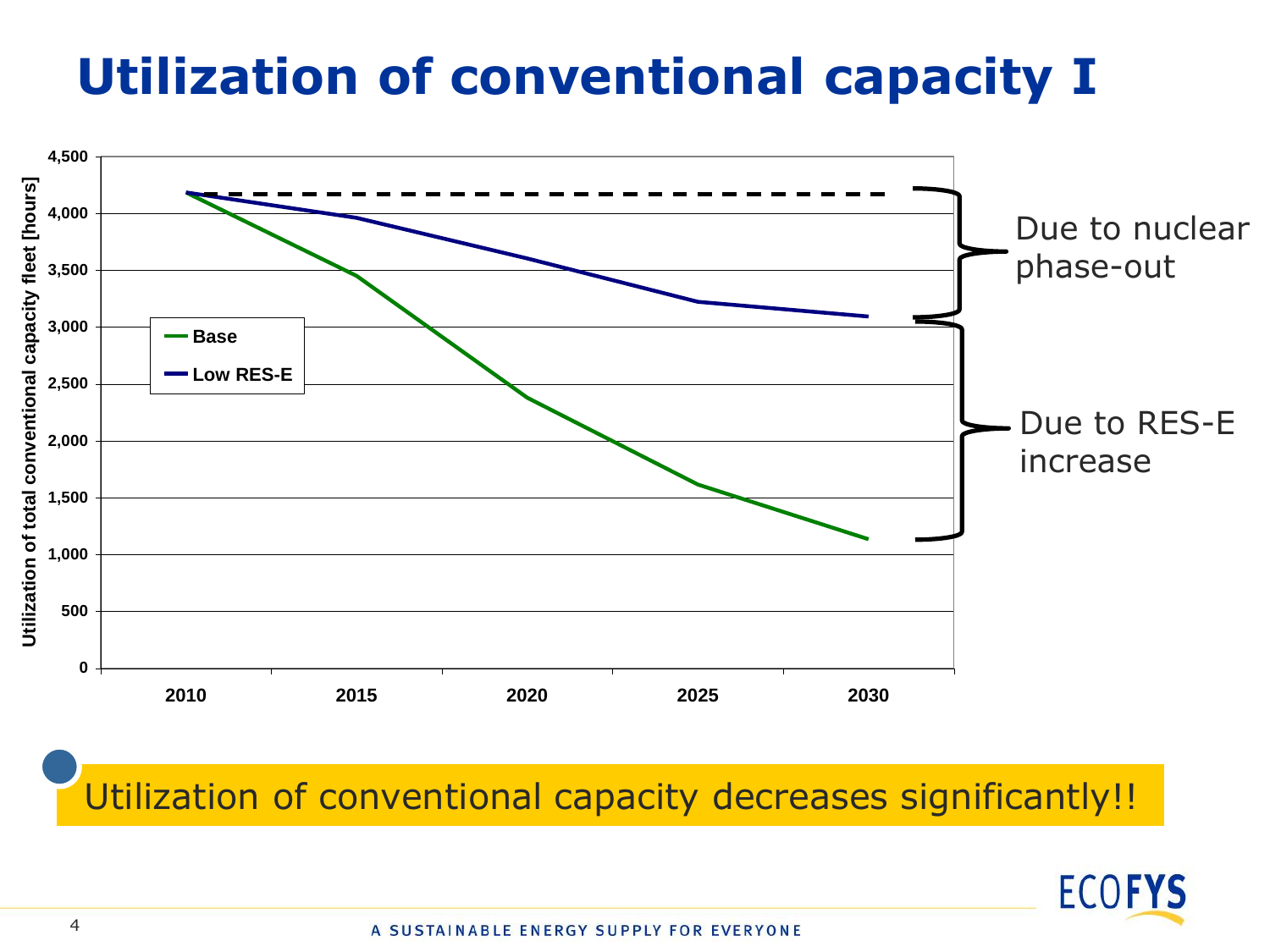## **Utilization of conventional capacity I**



Utilization of conventional capacity decreases significantly!!

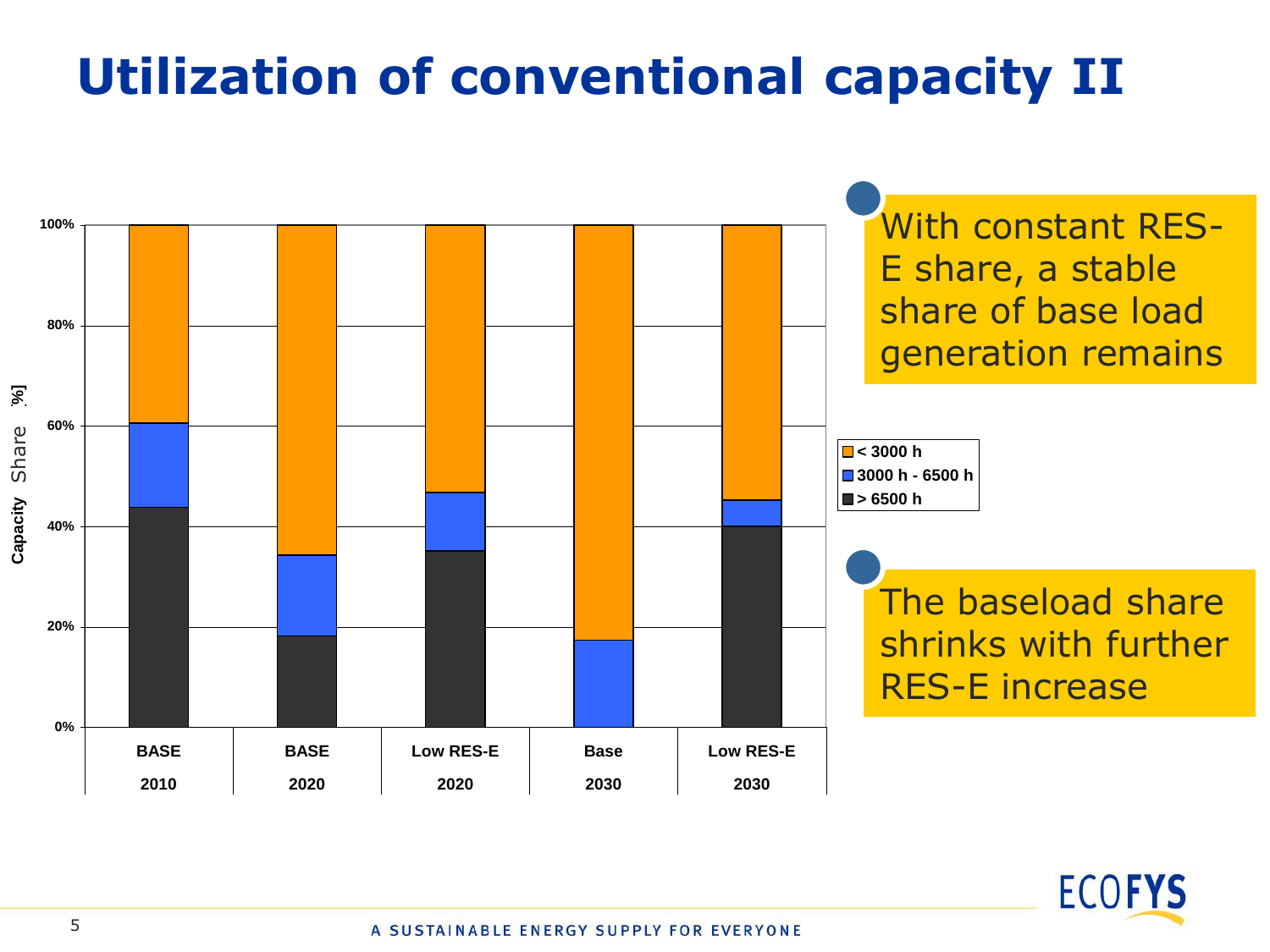## **Utilization of conventional capacity II**



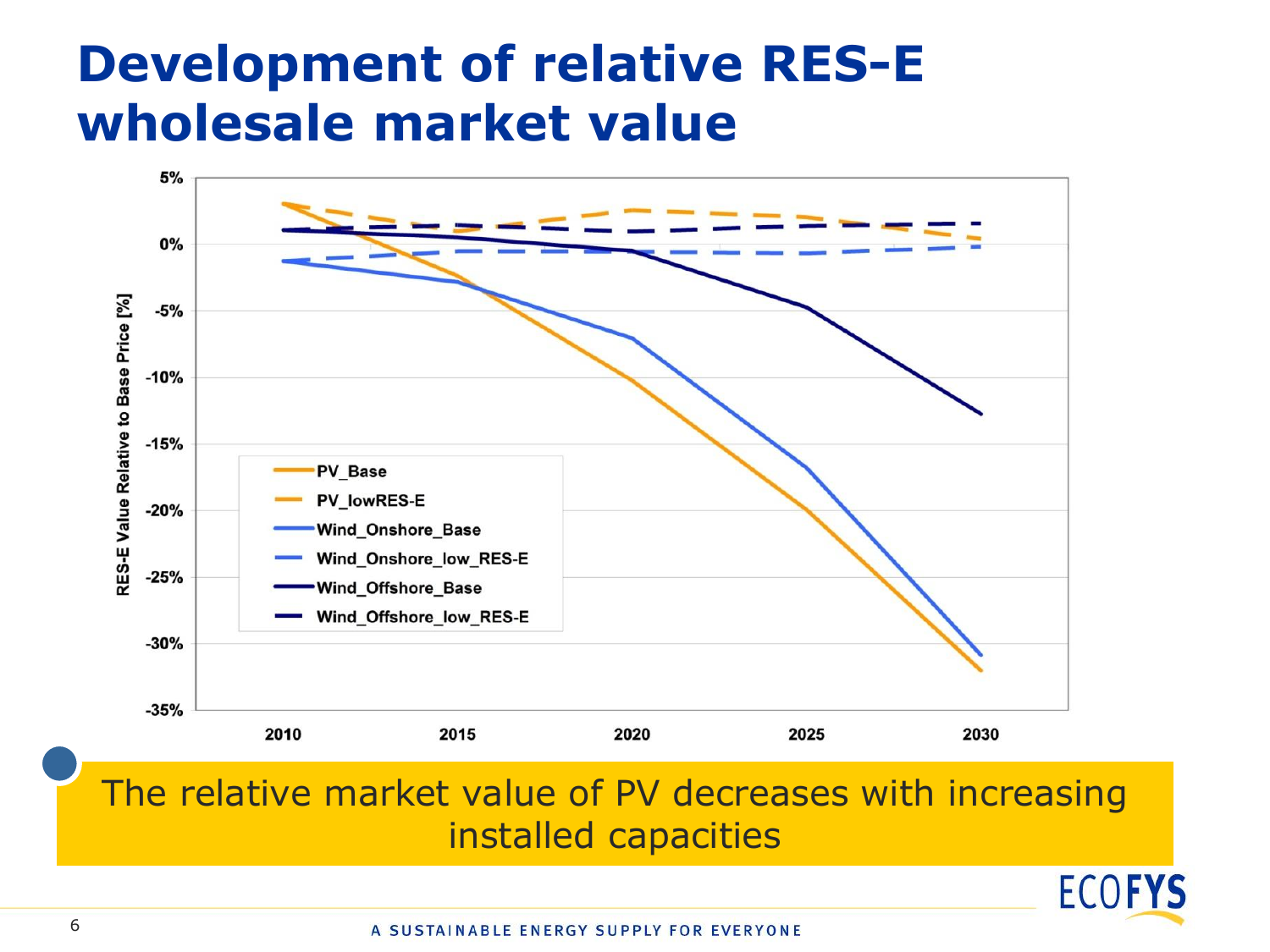#### **Development of relative RES-E wholesale market value**



#### The relative market value of PV decreases with increasing installed capacities

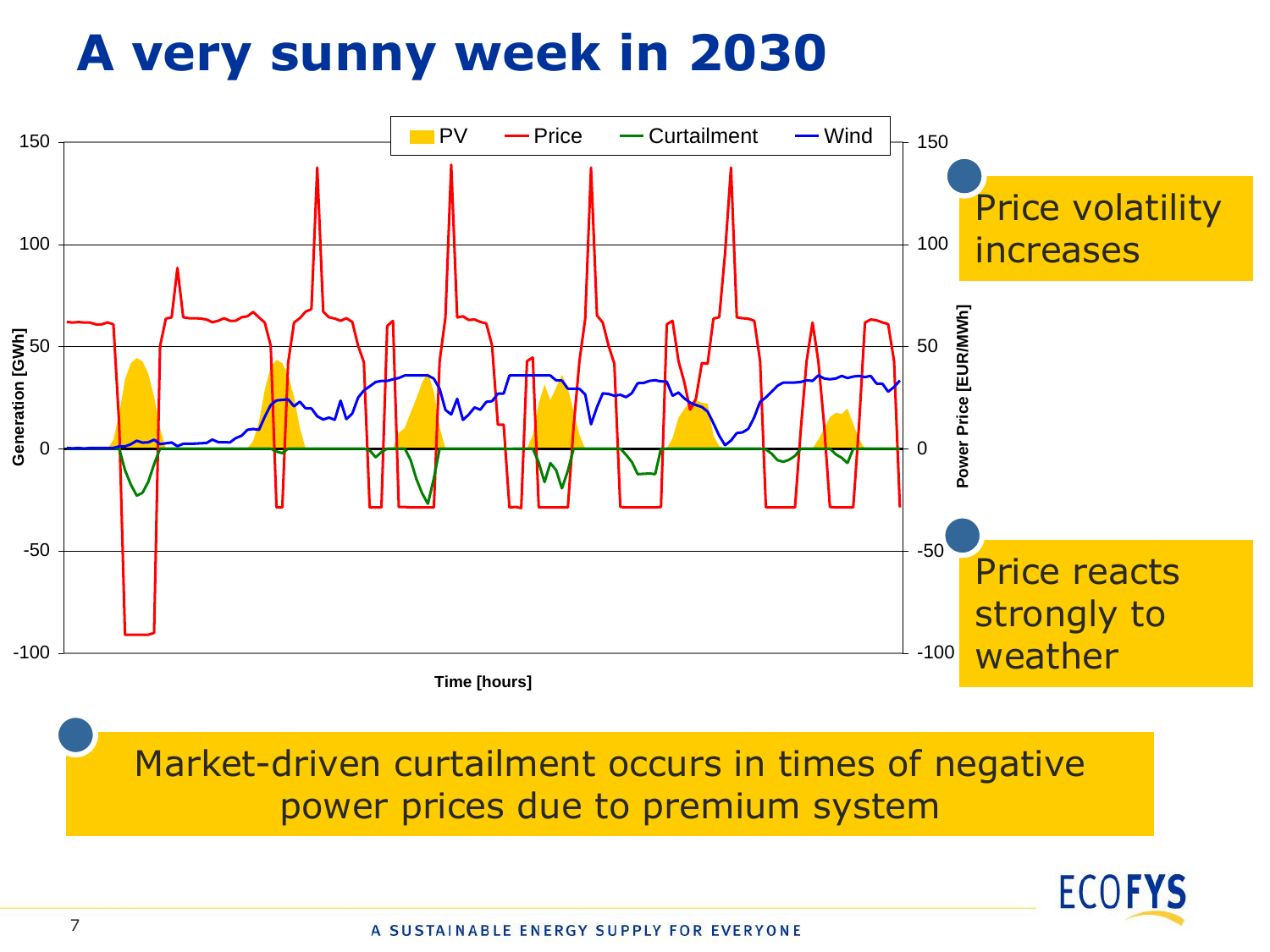## **A very sunny week in 2030**



Market-driven curtailment occurs in times of negative power prices due to premium system

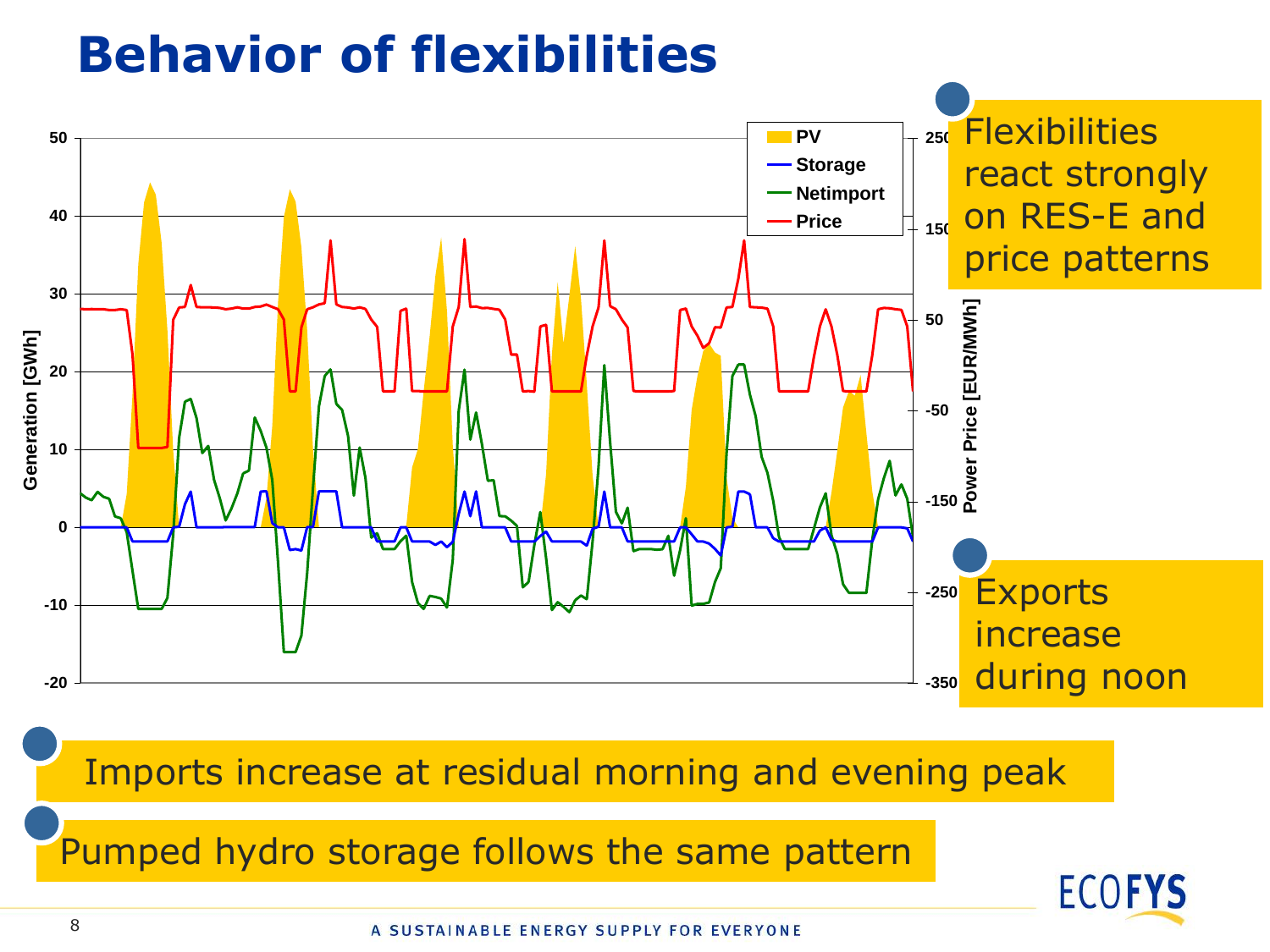#### **Behavior of flexibilities**



Imports increase at residual morning and evening peak

Pumped hydro storage follows the same pattern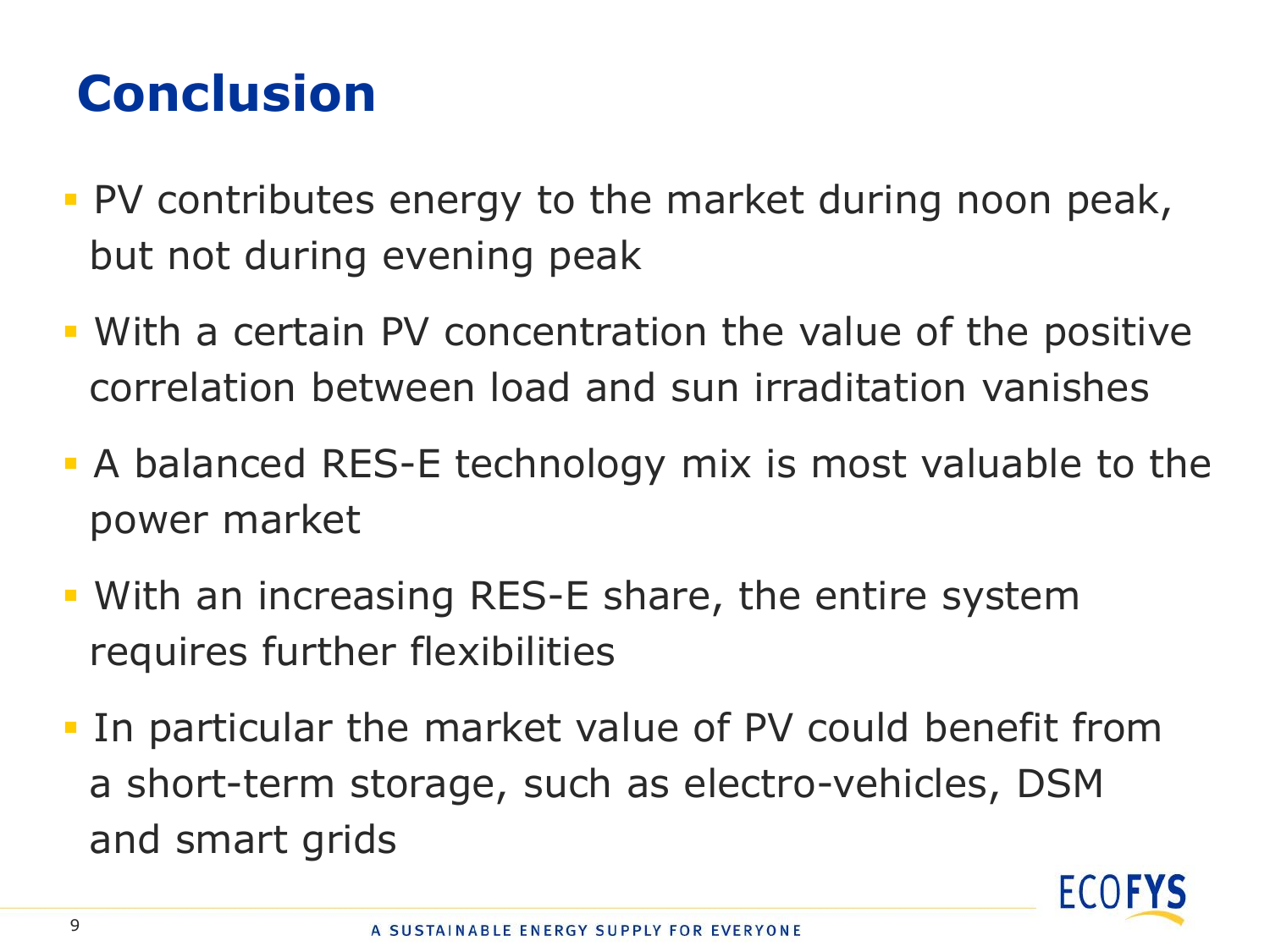## **Conclusion**

- PV contributes energy to the market during noon peak, but not during evening peak
- With a certain PV concentration the value of the positive correlation between load and sun irraditation vanishes
- A balanced RES-E technology mix is most valuable to the power market
- With an increasing RES-E share, the entire system requires further flexibilities
- In particular the market value of PV could benefit from a short-term storage, such as electro-vehicles, DSM and smart grids